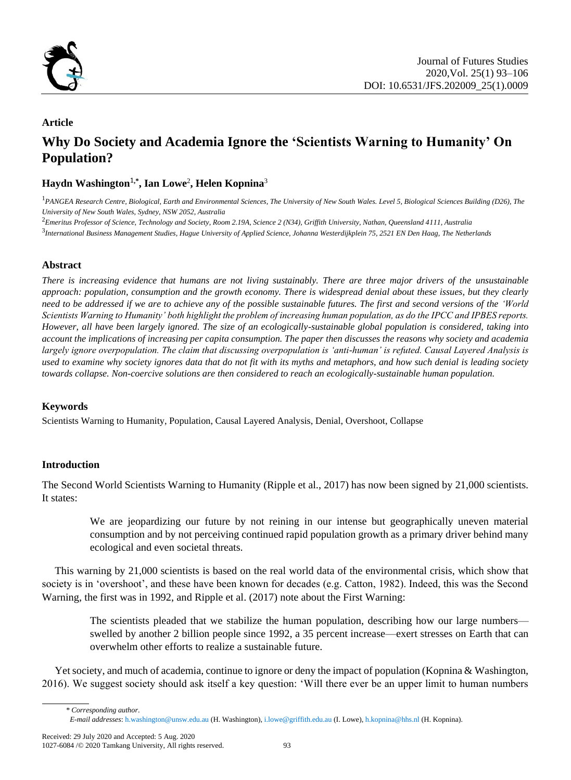

## **Article**

# **Why Do Society and Academia Ignore the 'Scientists Warning to Humanity' On Population?**

## **Haydn Washington**1**,\* , Ian Lowe**<sup>2</sup> **, Helen Kopnina**<sup>3</sup>

<sup>1</sup>*PANGEA Research Centre, Biological, Earth and Environmental Sciences, The University of New South Wales. Level 5, Biological Sciences Building (D26), The University of New South Wales, Sydney, NSW 2052, Australia*

<sup>2</sup>*Emeritus Professor of Science, Technology and Society, Room 2.19A, Science 2 (N34), Griffith University, Nathan, Queensland 4111, Australia*

3 *International Business Management Studies, Hague University of Applied Science, Johanna Westerdijkplein 75, 2521 EN Den Haag, The Netherlands*

## **Abstract**

*There is increasing evidence that humans are not living sustainably. There are three major drivers of the unsustainable approach: population, consumption and the growth economy. There is widespread denial about these issues, but they clearly need to be addressed if we are to achieve any of the possible sustainable futures. The first and second versions of the 'World Scientists Warning to Humanity' both highlight the problem of increasing human population, as do the IPCC and IPBES reports. However, all have been largely ignored. The size of an ecologically-sustainable global population is considered, taking into account the implications of increasing per capita consumption. The paper then discusses the reasons why society and academia largely ignore overpopulation. The claim that discussing overpopulation is 'anti-human' is refuted. Causal Layered Analysis is used to examine why society ignores data that do not fit with its myths and metaphors, and how such denial is leading society towards collapse. Non-coercive solutions are then considered to reach an ecologically-sustainable human population.*

#### **Keywords**

Scientists Warning to Humanity, Population, Causal Layered Analysis, Denial, Overshoot, Collapse

## **Introduction**

The Second World Scientists Warning to Humanity (Ripple et al., 2017) has now been signed by 21,000 scientists. It states:

We are jeopardizing our future by not reining in our intense but geographically uneven material consumption and by not perceiving continued rapid population growth as a primary driver behind many ecological and even societal threats.

This warning by 21,000 scientists is based on the real world data of the environmental crisis, which show that society is in 'overshoot', and these have been known for decades (e.g. Catton, 1982). Indeed, this was the Second Warning, the first was in 1992, and Ripple et al. (2017) note about the First Warning:

The scientists pleaded that we stabilize the human population, describing how our large numbers swelled by another 2 billion people since 1992, a 35 percent increase—exert stresses on Earth that can overwhelm other efforts to realize a sustainable future.

Yet society, and much of academia, continue to ignore or deny the impact of population (Kopnina & Washington, 2016). We suggest society should ask itself a key question: 'Will there ever be an upper limit to human numbers

*<sup>\*</sup> Corresponding author*. *E-mail addresses*: h.washington@unsw.edu.au (H. Washington), i.lowe@griffith.edu.au (I. Lowe), h.kopnina@hhs.nl (H. Kopnina).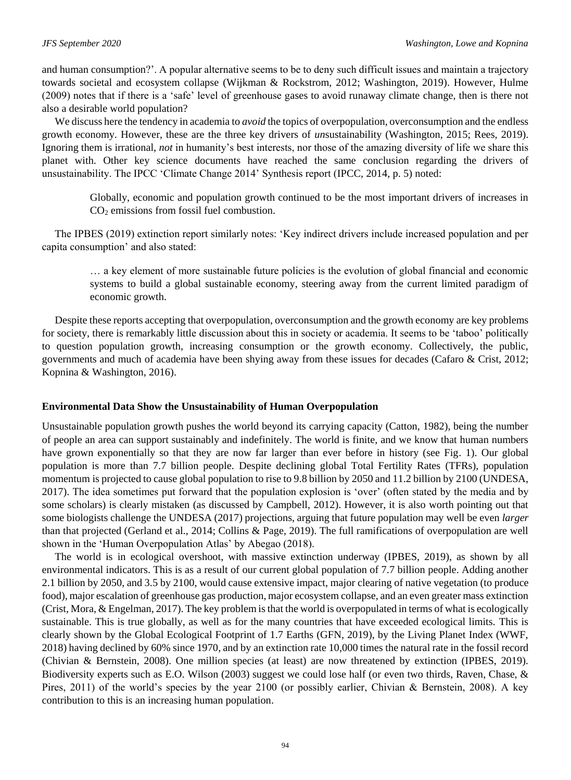and human consumption?'. A popular alternative seems to be to deny such difficult issues and maintain a trajectory towards societal and ecosystem collapse (Wijkman & Rockstrom, 2012; Washington, 2019). However, Hulme (2009) notes that if there is a 'safe' level of greenhouse gases to avoid runaway climate change, then is there not also a desirable world population?

We discuss here the tendency in academia to *avoid* the topics of overpopulation, overconsumption and the endless growth economy. However, these are the three key drivers of *un*sustainability (Washington, 2015; Rees, 2019). Ignoring them is irrational, *not* in humanity's best interests, nor those of the amazing diversity of life we share this planet with. Other key science documents have reached the same conclusion regarding the drivers of unsustainability. The IPCC 'Climate Change 2014' Synthesis report (IPCC, 2014, p. 5) noted:

Globally, economic and population growth continued to be the most important drivers of increases in CO<sup>2</sup> emissions from fossil fuel combustion.

The IPBES (2019) extinction report similarly notes: 'Key indirect drivers include increased population and per capita consumption' and also stated:

… a key element of more sustainable future policies is the evolution of global financial and economic systems to build a global sustainable economy, steering away from the current limited paradigm of economic growth.

Despite these reports accepting that overpopulation, overconsumption and the growth economy are key problems for society, there is remarkably little discussion about this in society or academia. It seems to be 'taboo' politically to question population growth, increasing consumption or the growth economy. Collectively, the public, governments and much of academia have been shying away from these issues for decades (Cafaro & Crist, 2012; Kopnina & Washington, 2016).

#### **Environmental Data Show the Unsustainability of Human Overpopulation**

Unsustainable population growth pushes the world beyond its carrying capacity (Catton, 1982), being the number of people an area can support sustainably and indefinitely. The world is finite, and we know that human numbers have grown exponentially so that they are now far larger than ever before in history (see Fig. 1). Our global population is more than 7.7 billion people. Despite declining global Total Fertility Rates (TFRs), population momentum is projected to cause global population to rise to 9.8 billion by 2050 and 11.2 billion by 2100 (UNDESA, 2017). The idea sometimes put forward that the population explosion is 'over' (often stated by the media and by some scholars) is clearly mistaken (as discussed by Campbell, 2012). However, it is also worth pointing out that some biologists challenge the UNDESA (2017) projections, arguing that future population may well be even *larger* than that projected (Gerland et al., 2014; Collins & Page, 2019). The full ramifications of overpopulation are well shown in the 'Human Overpopulation Atlas' by Abegao (2018).

The world is in ecological overshoot, with massive extinction underway (IPBES, 2019), as shown by all environmental indicators. This is as a result of our current global population of 7.7 billion people. Adding another 2.1 billion by 2050, and 3.5 by 2100, would cause extensive impact, major clearing of native vegetation (to produce food), major escalation of greenhouse gas production, major ecosystem collapse, and an even greater mass extinction (Crist, Mora, & Engelman, 2017). The key problem is that the world is overpopulated in terms of what is ecologically sustainable. This is true globally, as well as for the many countries that have exceeded ecological limits. This is clearly shown by the Global Ecological Footprint of 1.7 Earths (GFN, 2019), by the Living Planet Index (WWF, 2018) having declined by 60% since 1970, and by an extinction rate 10,000 times the natural rate in the fossil record (Chivian & Bernstein, 2008). One million species (at least) are now threatened by extinction (IPBES, 2019). Biodiversity experts such as E.O. Wilson (2003) suggest we could lose half (or even two thirds, Raven, Chase, & Pires, 2011) of the world's species by the year 2100 (or possibly earlier, Chivian & Bernstein, 2008). A key contribution to this is an increasing human population.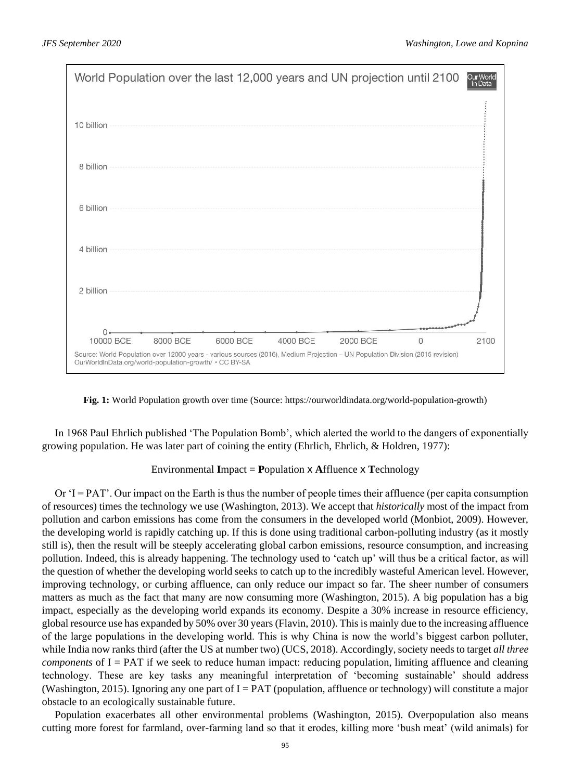

**Fig. 1:** World Population growth over time (Source: [https://ourworldindata.org/world-population-growth\)](https://ourworldindata.org/world-population-growth)

In 1968 Paul Ehrlich published 'The Population Bomb', which alerted the world to the dangers of exponentially growing population. He was later part of coining the entity (Ehrlich, Ehrlich, & Holdren, 1977):

#### Environmental **I**mpact = **P**opulation x **A**ffluence x **T**echnology

Or 'I = PAT'. Our impact on the Earth is thus the number of people times their affluence (per capita consumption of resources) times the technology we use (Washington, 2013). We accept that *historically* most of the impact from pollution and carbon emissions has come from the consumers in the developed world (Monbiot, 2009). However, the developing world is rapidly catching up. If this is done using traditional carbon-polluting industry (as it mostly still is), then the result will be steeply accelerating global carbon emissions, resource consumption, and increasing pollution. Indeed, this is already happening. The technology used to 'catch up' will thus be a critical factor, as will the question of whether the developing world seeks to catch up to the incredibly wasteful American level. However, improving technology, or curbing affluence, can only reduce our impact so far. The sheer number of consumers matters as much as the fact that many are now consuming more (Washington, 2015). A big population has a big impact, especially as the developing world expands its economy. Despite a 30% increase in resource efficiency, global resource use has expanded by 50% over 30 years (Flavin, 2010). This is mainly due to the increasing affluence of the large populations in the developing world. This is why China is now the world's biggest carbon polluter, while India now ranks third (after the US at number two) (UCS, 2018). Accordingly, society needs to target *all three components* of I = PAT if we seek to reduce human impact: reducing population, limiting affluence and cleaning technology. These are key tasks any meaningful interpretation of 'becoming sustainable' should address (Washington, 2015). Ignoring any one part of  $I = PAT$  (population, affluence or technology) will constitute a major obstacle to an ecologically sustainable future.

Population exacerbates all other environmental problems (Washington, 2015). Overpopulation also means cutting more forest for farmland, over-farming land so that it erodes, killing more 'bush meat' (wild animals) for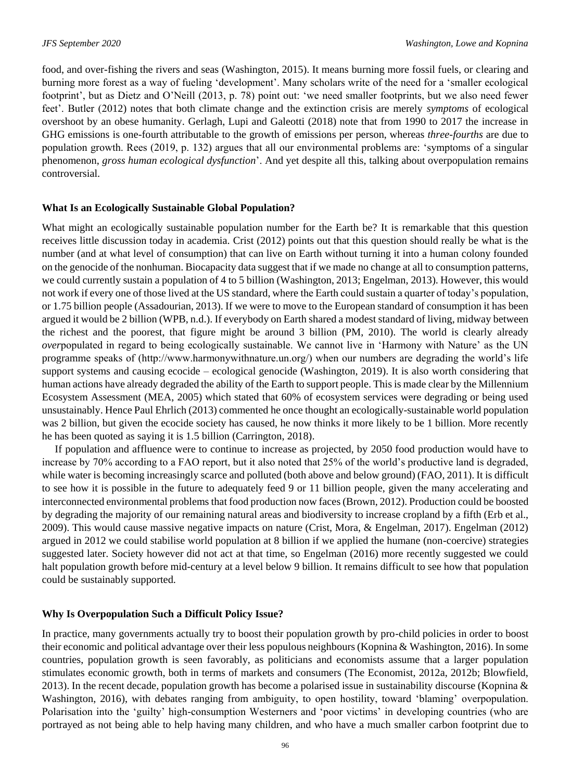food, and over-fishing the rivers and seas (Washington, 2015). It means burning more fossil fuels, or clearing and burning more forest as a way of fueling 'development'. Many scholars write of the need for a 'smaller ecological footprint', but as Dietz and O'Neill (2013, p. 78) point out: 'we need smaller footprints, but we also need fewer feet'. Butler (2012) notes that both climate change and the extinction crisis are merely *symptoms* of ecological overshoot by an obese humanity. Gerlagh, Lupi and Galeotti (2018) note that from 1990 to 2017 the increase in GHG emissions is one-fourth attributable to the growth of emissions per person, whereas *three-fourths* are due to population growth. Rees (2019, p. 132) argues that all our environmental problems are: 'symptoms of a singular phenomenon, *gross human ecological dysfunction*'. And yet despite all this, talking about overpopulation remains controversial.

#### **What Is an Ecologically Sustainable Global Population?**

What might an ecologically sustainable population number for the Earth be? It is remarkable that this question receives little discussion today in academia. Crist (2012) points out that this question should really be what is the number (and at what level of consumption) that can live on Earth without turning it into a human colony founded on the genocide of the nonhuman. Biocapacity data suggest that if we made no change at all to consumption patterns, we could currently sustain a population of 4 to 5 billion (Washington, 2013; Engelman, 2013). However, this would not work if every one of those lived at the US standard, where the Earth could sustain a quarter of today's population, or 1.75 billion people (Assadourian, 2013). If we were to move to the European standard of consumption it has been argued it would be 2 billion (WPB, n.d.). If everybody on Earth shared a modest standard of living, midway between the richest and the poorest, that figure might be around 3 billion (PM, 2010). The world is clearly already *over*populated in regard to being ecologically sustainable. We cannot live in 'Harmony with Nature' as the UN programme speaks of (http://www.harmonywithnature.un.org/) when our numbers are degrading the world's life support systems and causing ecocide – ecological genocide (Washington, 2019). It is also worth considering that human actions have already degraded the ability of the Earth to support people. This is made clear by the Millennium Ecosystem Assessment (MEA, 2005) which stated that 60% of ecosystem services were degrading or being used unsustainably. Hence Paul Ehrlich (2013) commented he once thought an ecologically-sustainable world population was 2 billion, but given the ecocide society has caused, he now thinks it more likely to be 1 billion. More recently he has been quoted as saying it is 1.5 billion (Carrington, 2018).

If population and affluence were to continue to increase as projected, by 2050 food production would have to increase by 70% according to a FAO report, but it also noted that 25% of the world's productive land is degraded, while water is becoming increasingly scarce and polluted (both above and below ground) (FAO, 2011). It is difficult to see how it is possible in the future to adequately feed 9 or 11 billion people, given the many accelerating and interconnected environmental problems that food production now faces (Brown, 2012). Production could be boosted by degrading the majority of our remaining natural areas and biodiversity to increase cropland by a fifth (Erb et al., 2009). This would cause massive negative impacts on nature (Crist, Mora, & Engelman, 2017). Engelman (2012) argued in 2012 we could stabilise world population at 8 billion if we applied the humane (non-coercive) strategies suggested later. Society however did not act at that time, so Engelman (2016) more recently suggested we could halt population growth before mid-century at a level below 9 billion. It remains difficult to see how that population could be sustainably supported.

#### **Why Is Overpopulation Such a Difficult Policy Issue?**

In practice, many governments actually try to boost their population growth by pro-child policies in order to boost their economic and political advantage over their less populous neighbours (Kopnina & Washington, 2016). In some countries, population growth is seen favorably, as politicians and economists assume that a larger population stimulates economic growth, both in terms of markets and consumers (The Economist, 2012a, 2012b; Blowfield, 2013). In the recent decade, population growth has become a polarised issue in sustainability discourse (Kopnina  $\&$ Washington, 2016), with debates ranging from ambiguity, to open hostility, toward 'blaming' overpopulation. Polarisation into the 'guilty' high-consumption Westerners and 'poor victims' in developing countries (who are portrayed as not being able to help having many children, and who have a much smaller carbon footprint due to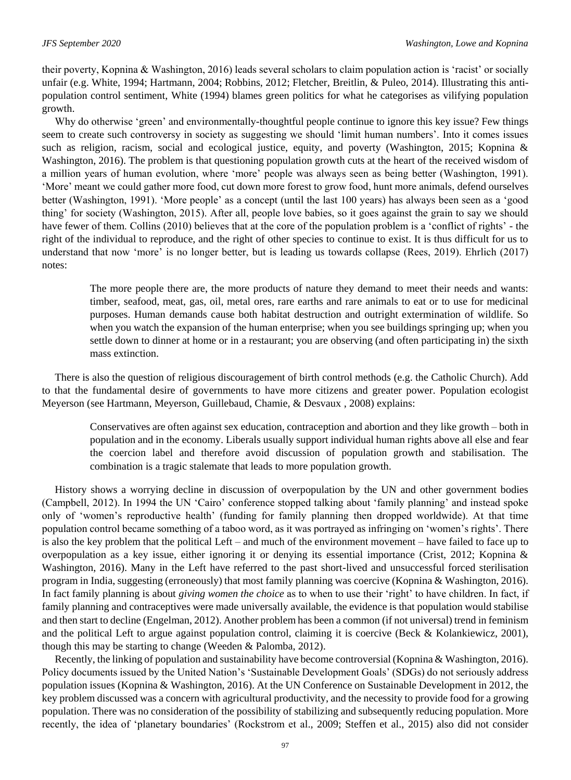their poverty, Kopnina & Washington, 2016) leads several scholars to claim population action is 'racist' or socially unfair (e.g. White, 1994; Hartmann, 2004; Robbins, 2012; Fletcher, Breitlin, & Puleo, 2014). Illustrating this antipopulation control sentiment, White (1994) blames green politics for what he categorises as vilifying population growth.

Why do otherwise 'green' and environmentally-thoughtful people continue to ignore this key issue? Few things seem to create such controversy in society as suggesting we should 'limit human numbers'. Into it comes issues such as religion, racism, social and ecological justice, equity, and poverty (Washington, 2015; Kopnina & Washington, 2016). The problem is that questioning population growth cuts at the heart of the received wisdom of a million years of human evolution, where 'more' people was always seen as being better (Washington, 1991). 'More' meant we could gather more food, cut down more forest to grow food, hunt more animals, defend ourselves better (Washington, 1991). 'More people' as a concept (until the last 100 years) has always been seen as a 'good thing' for society (Washington, 2015). After all, people love babies, so it goes against the grain to say we should have fewer of them. Collins (2010) believes that at the core of the population problem is a 'conflict of rights' - the right of the individual to reproduce, and the right of other species to continue to exist. It is thus difficult for us to understand that now 'more' is no longer better, but is leading us towards collapse (Rees, 2019). Ehrlich (2017) notes:

The more people there are, the more products of nature they demand to meet their needs and wants: timber, seafood, meat, gas, oil, metal ores, rare earths and rare animals to eat or to use for medicinal purposes. Human demands cause both habitat destruction and outright extermination of wildlife. So when you watch the expansion of the human enterprise; when you see buildings springing up; when you settle down to dinner at home or in a restaurant; you are observing (and often participating in) the sixth mass extinction.

There is also the question of religious discouragement of birth control methods (e.g. the Catholic Church). Add to that the fundamental desire of governments to have more citizens and greater power. Population ecologist Meyerson (see Hartmann, Meyerson, Guillebaud, Chamie, & Desvaux , 2008) explains:

Conservatives are often against sex education, contraception and abortion and they like growth – both in population and in the economy. Liberals usually support individual human rights above all else and fear the coercion label and therefore avoid discussion of population growth and stabilisation. The combination is a tragic stalemate that leads to more population growth.

History shows a worrying decline in discussion of overpopulation by the UN and other government bodies (Campbell, 2012). In 1994 the UN 'Cairo' conference stopped talking about 'family planning' and instead spoke only of 'women's reproductive health' (funding for family planning then dropped worldwide). At that time population control became something of a taboo word, as it was portrayed as infringing on 'women's rights'. There is also the key problem that the political Left – and much of the environment movement – have failed to face up to overpopulation as a key issue, either ignoring it or denying its essential importance (Crist, 2012; Kopnina & Washington, 2016). Many in the Left have referred to the past short-lived and unsuccessful forced sterilisation program in India, suggesting (erroneously) that most family planning was coercive (Kopnina & Washington, 2016). In fact family planning is about *giving women the choice* as to when to use their 'right' to have children. In fact, if family planning and contraceptives were made universally available, the evidence is that population would stabilise and then start to decline (Engelman, 2012). Another problem has been a common (if not universal) trend in feminism and the political Left to argue against population control, claiming it is coercive (Beck & Kolankiewicz, 2001), though this may be starting to change (Weeden & Palomba, 2012).

Recently, the linking of population and sustainability have become controversial (Kopnina & Washington, 2016). Policy documents issued by the United Nation's 'Sustainable Development Goals' (SDGs) do not seriously address population issues (Kopnina & Washington, 2016). At the UN Conference on Sustainable Development in 2012, the key problem discussed was a concern with agricultural productivity, and the necessity to provide food for a growing population. There was no consideration of the possibility of stabilizing and subsequently reducing population. More recently, the idea of 'planetary boundaries' (Rockstrom et al., 2009; Steffen et al., 2015) also did not consider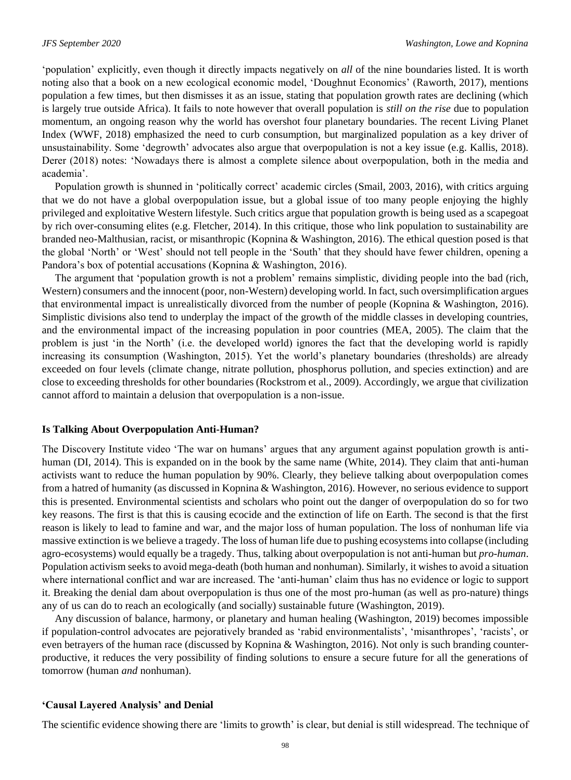'population' explicitly, even though it directly impacts negatively on *all* of the nine boundaries listed. It is worth noting also that a book on a new ecological economic model, 'Doughnut Economics' (Raworth, 2017), mentions population a few times, but then dismisses it as an issue, stating that population growth rates are declining (which is largely true outside Africa). It fails to note however that overall population is *still on the rise* due to population momentum, an ongoing reason why the world has overshot four planetary boundaries. The recent Living Planet Index (WWF, 2018) emphasized the need to curb consumption, but marginalized population as a key driver of unsustainability. Some 'degrowth' advocates also argue that overpopulation is not a key issue (e.g. Kallis, 2018). Derer (2018) notes: 'Nowadays there is almost a complete silence about overpopulation, both in the media and academia'.

Population growth is shunned in 'politically correct' academic circles (Smail, 2003, 2016), with critics arguing that we do not have a global overpopulation issue, but a global issue of too many people enjoying the highly privileged and exploitative Western lifestyle. Such critics argue that population growth is being used as a scapegoat by rich over-consuming elites (e.g. Fletcher, 2014). In this critique, those who link population to sustainability are branded neo-Malthusian, racist, or misanthropic (Kopnina & Washington, 2016). The ethical question posed is that the global 'North' or 'West' should not tell people in the 'South' that they should have fewer children, opening a Pandora's box of potential accusations (Kopnina & Washington, 2016).

The argument that 'population growth is not a problem' remains simplistic, dividing people into the bad (rich, Western) consumers and the innocent (poor, non-Western) developing world. In fact, such oversimplification argues that environmental impact is unrealistically divorced from the number of people (Kopnina & Washington, 2016). Simplistic divisions also tend to underplay the impact of the growth of the middle classes in developing countries, and the environmental impact of the increasing population in poor countries (MEA, 2005). The claim that the problem is just 'in the North' (i.e. the developed world) ignores the fact that the developing world is rapidly increasing its consumption (Washington, 2015). Yet the world's planetary boundaries (thresholds) are already exceeded on four levels (climate change, nitrate pollution, phosphorus pollution, and species extinction) and are close to exceeding thresholds for other boundaries (Rockstrom et al., 2009). Accordingly, we argue that civilization cannot afford to maintain a delusion that overpopulation is a non-issue.

#### **Is Talking About Overpopulation Anti-Human?**

The Discovery Institute video 'The war on humans' argues that any argument against population growth is antihuman (DI, 2014). This is expanded on in the book by the same name (White, 2014). They claim that anti-human activists want to reduce the human population by 90%. Clearly, they believe talking about overpopulation comes from a hatred of humanity (as discussed in Kopnina & Washington, 2016). However, no serious evidence to support this is presented. Environmental scientists and scholars who point out the danger of overpopulation do so for two key reasons. The first is that this is causing ecocide and the extinction of life on Earth. The second is that the first reason is likely to lead to famine and war, and the major loss of human population. The loss of nonhuman life via massive extinction is we believe a tragedy. The loss of human life due to pushing ecosystems into collapse (including agro-ecosystems) would equally be a tragedy. Thus, talking about overpopulation is not anti-human but *pro-human*. Population activism seeks to avoid mega-death (both human and nonhuman). Similarly, it wishes to avoid a situation where international conflict and war are increased. The 'anti-human' claim thus has no evidence or logic to support it. Breaking the denial dam about overpopulation is thus one of the most pro-human (as well as pro-nature) things any of us can do to reach an ecologically (and socially) sustainable future (Washington, 2019).

Any discussion of balance, harmony, or planetary and human healing (Washington, 2019) becomes impossible if population-control advocates are pejoratively branded as 'rabid environmentalists', 'misanthropes', 'racists', or even betrayers of the human race (discussed by Kopnina & Washington, 2016). Not only is such branding counterproductive, it reduces the very possibility of finding solutions to ensure a secure future for all the generations of tomorrow (human *and* nonhuman).

#### **'Causal Layered Analysis' and Denial**

The scientific evidence showing there are 'limits to growth' is clear, but denial is still widespread. The technique of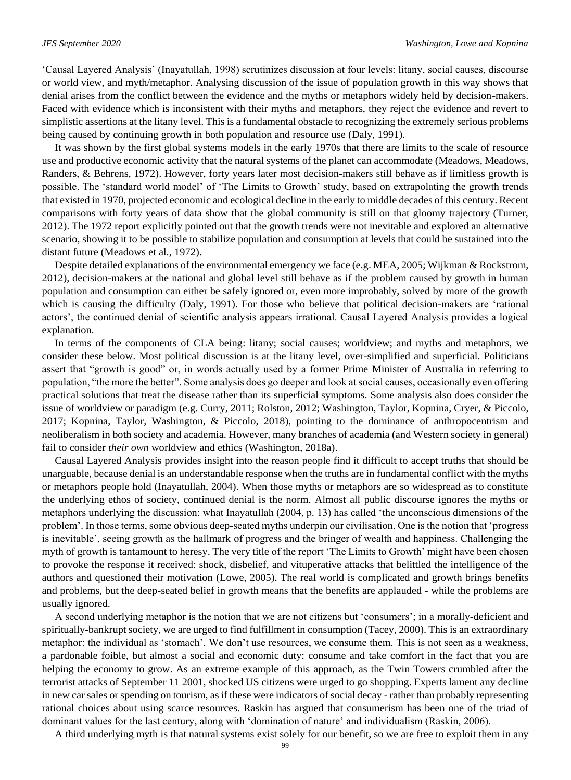'Causal Layered Analysis' (Inayatullah, 1998) scrutinizes discussion at four levels: litany, social causes, discourse or world view, and myth/metaphor. Analysing discussion of the issue of population growth in this way shows that denial arises from the conflict between the evidence and the myths or metaphors widely held by decision-makers. Faced with evidence which is inconsistent with their myths and metaphors, they reject the evidence and revert to simplistic assertions at the litany level. This is a fundamental obstacle to recognizing the extremely serious problems being caused by continuing growth in both population and resource use (Daly, 1991).

It was shown by the first global systems models in the early 1970s that there are limits to the scale of resource use and productive economic activity that the natural systems of the planet can accommodate (Meadows, Meadows, Randers, & Behrens, 1972). However, forty years later most decision-makers still behave as if limitless growth is possible. The 'standard world model' of 'The Limits to Growth' study, based on extrapolating the growth trends that existed in 1970, projected economic and ecological decline in the early to middle decades of this century. Recent comparisons with forty years of data show that the global community is still on that gloomy trajectory (Turner, 2012). The 1972 report explicitly pointed out that the growth trends were not inevitable and explored an alternative scenario, showing it to be possible to stabilize population and consumption at levels that could be sustained into the distant future (Meadows et al., 1972).

Despite detailed explanations of the environmental emergency we face (e.g. MEA, 2005; Wijkman & Rockstrom, 2012), decision-makers at the national and global level still behave as if the problem caused by growth in human population and consumption can either be safely ignored or, even more improbably, solved by more of the growth which is causing the difficulty (Daly, 1991). For those who believe that political decision-makers are 'rational actors', the continued denial of scientific analysis appears irrational. Causal Layered Analysis provides a logical explanation.

In terms of the components of CLA being: litany; social causes; worldview; and myths and metaphors, we consider these below. Most political discussion is at the litany level, over-simplified and superficial. Politicians assert that "growth is good" or, in words actually used by a former Prime Minister of Australia in referring to population, "the more the better". Some analysis does go deeper and look at social causes, occasionally even offering practical solutions that treat the disease rather than its superficial symptoms. Some analysis also does consider the issue of worldview or paradigm (e.g. Curry, 2011; Rolston, 2012; Washington, Taylor, Kopnina, Cryer, & Piccolo, 2017; Kopnina, Taylor, Washington, & Piccolo, 2018), pointing to the dominance of anthropocentrism and neoliberalism in both society and academia. However, many branches of academia (and Western society in general) fail to consider *their own* worldview and ethics (Washington, 2018a).

Causal Layered Analysis provides insight into the reason people find it difficult to accept truths that should be unarguable, because denial is an understandable response when the truths are in fundamental conflict with the myths or metaphors people hold (Inayatullah, 2004). When those myths or metaphors are so widespread as to constitute the underlying ethos of society, continued denial is the norm. Almost all public discourse ignores the myths or metaphors underlying the discussion: what Inayatullah (2004, p. 13) has called 'the unconscious dimensions of the problem'. In those terms, some obvious deep-seated myths underpin our civilisation. One is the notion that 'progress is inevitable', seeing growth as the hallmark of progress and the bringer of wealth and happiness. Challenging the myth of growth is tantamount to heresy. The very title of the report 'The Limits to Growth' might have been chosen to provoke the response it received: shock, disbelief, and vituperative attacks that belittled the intelligence of the authors and questioned their motivation (Lowe, 2005). The real world is complicated and growth brings benefits and problems, but the deep-seated belief in growth means that the benefits are applauded - while the problems are usually ignored.

A second underlying metaphor is the notion that we are not citizens but 'consumers'; in a morally-deficient and spiritually-bankrupt society, we are urged to find fulfillment in consumption (Tacey, 2000). This is an extraordinary metaphor: the individual as 'stomach'. We don't use resources, we consume them. This is not seen as a weakness, a pardonable foible, but almost a social and economic duty: consume and take comfort in the fact that you are helping the economy to grow. As an extreme example of this approach, as the Twin Towers crumbled after the terrorist attacks of September 11 2001, shocked US citizens were urged to go shopping. Experts lament any decline in new car sales or spending on tourism, as if these were indicators of social decay - rather than probably representing rational choices about using scarce resources. Raskin has argued that consumerism has been one of the triad of dominant values for the last century, along with 'domination of nature' and individualism (Raskin, 2006).

A third underlying myth is that natural systems exist solely for our benefit, so we are free to exploit them in any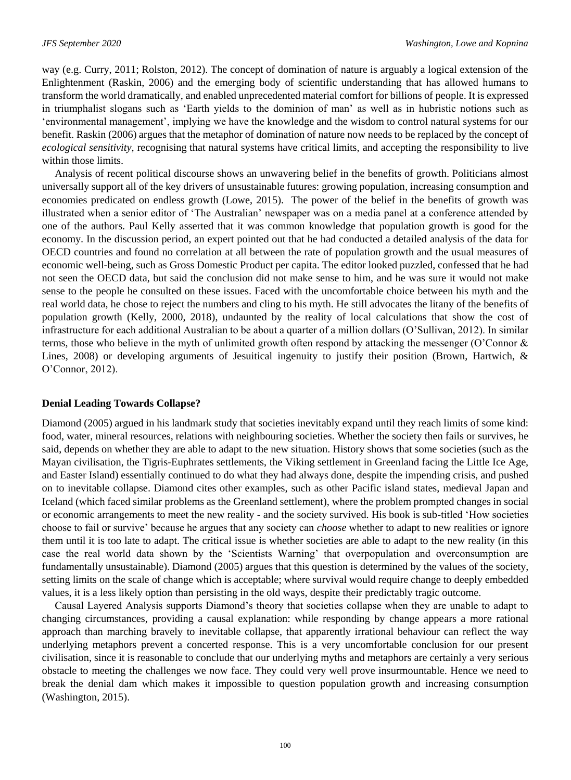way (e.g. Curry, 2011; Rolston, 2012). The concept of domination of nature is arguably a logical extension of the Enlightenment (Raskin, 2006) and the emerging body of scientific understanding that has allowed humans to transform the world dramatically, and enabled unprecedented material comfort for billions of people. It is expressed in triumphalist slogans such as 'Earth yields to the dominion of man' as well as in hubristic notions such as 'environmental management', implying we have the knowledge and the wisdom to control natural systems for our benefit. Raskin (2006) argues that the metaphor of domination of nature now needs to be replaced by the concept of *ecological sensitivity*, recognising that natural systems have critical limits, and accepting the responsibility to live within those limits.

Analysis of recent political discourse shows an unwavering belief in the benefits of growth. Politicians almost universally support all of the key drivers of unsustainable futures: growing population, increasing consumption and economies predicated on endless growth (Lowe, 2015). The power of the belief in the benefits of growth was illustrated when a senior editor of 'The Australian' newspaper was on a media panel at a conference attended by one of the authors. Paul Kelly asserted that it was common knowledge that population growth is good for the economy. In the discussion period, an expert pointed out that he had conducted a detailed analysis of the data for OECD countries and found no correlation at all between the rate of population growth and the usual measures of economic well-being, such as Gross Domestic Product per capita. The editor looked puzzled, confessed that he had not seen the OECD data, but said the conclusion did not make sense to him, and he was sure it would not make sense to the people he consulted on these issues. Faced with the uncomfortable choice between his myth and the real world data, he chose to reject the numbers and cling to his myth. He still advocates the litany of the benefits of population growth (Kelly, 2000, 2018), undaunted by the reality of local calculations that show the cost of infrastructure for each additional Australian to be about a quarter of a million dollars (O'Sullivan, 2012). In similar terms, those who believe in the myth of unlimited growth often respond by attacking the messenger (O'Connor & Lines, 2008) or developing arguments of Jesuitical ingenuity to justify their position (Brown, Hartwich, & O'Connor, 2012).

#### **Denial Leading Towards Collapse?**

Diamond (2005) argued in his landmark study that societies inevitably expand until they reach limits of some kind: food, water, mineral resources, relations with neighbouring societies. Whether the society then fails or survives, he said, depends on whether they are able to adapt to the new situation. History shows that some societies (such as the Mayan civilisation, the Tigris-Euphrates settlements, the Viking settlement in Greenland facing the Little Ice Age, and Easter Island) essentially continued to do what they had always done, despite the impending crisis, and pushed on to inevitable collapse. Diamond cites other examples, such as other Pacific island states, medieval Japan and Iceland (which faced similar problems as the Greenland settlement), where the problem prompted changes in social or economic arrangements to meet the new reality - and the society survived. His book is sub-titled 'How societies choose to fail or survive' because he argues that any society can *choose* whether to adapt to new realities or ignore them until it is too late to adapt. The critical issue is whether societies are able to adapt to the new reality (in this case the real world data shown by the 'Scientists Warning' that overpopulation and overconsumption are fundamentally unsustainable). Diamond (2005) argues that this question is determined by the values of the society, setting limits on the scale of change which is acceptable; where survival would require change to deeply embedded values, it is a less likely option than persisting in the old ways, despite their predictably tragic outcome.

Causal Layered Analysis supports Diamond's theory that societies collapse when they are unable to adapt to changing circumstances, providing a causal explanation: while responding by change appears a more rational approach than marching bravely to inevitable collapse, that apparently irrational behaviour can reflect the way underlying metaphors prevent a concerted response. This is a very uncomfortable conclusion for our present civilisation, since it is reasonable to conclude that our underlying myths and metaphors are certainly a very serious obstacle to meeting the challenges we now face. They could very well prove insurmountable. Hence we need to break the denial dam which makes it impossible to question population growth and increasing consumption (Washington, 2015).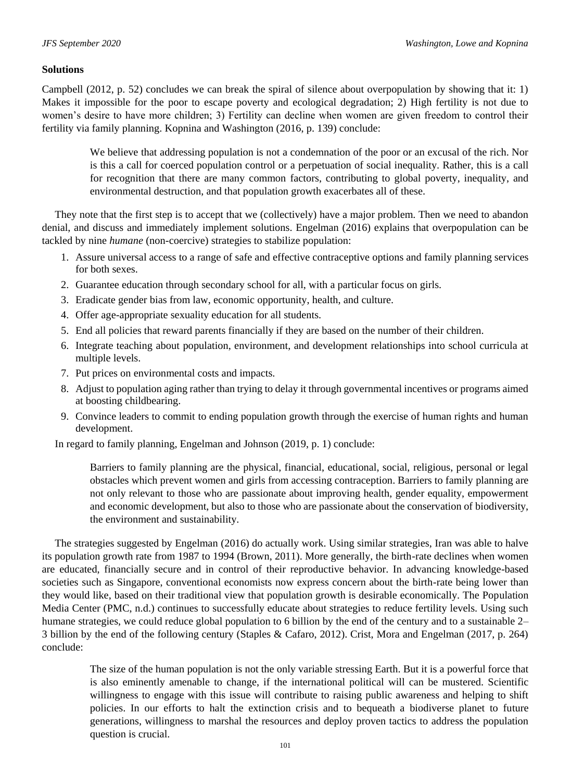## **Solutions**

Campbell (2012, p. 52) concludes we can break the spiral of silence about overpopulation by showing that it: 1) Makes it impossible for the poor to escape poverty and ecological degradation; 2) High fertility is not due to women's desire to have more children; 3) Fertility can decline when women are given freedom to control their fertility via family planning. Kopnina and Washington (2016, p. 139) conclude:

We believe that addressing population is not a condemnation of the poor or an excusal of the rich. Nor is this a call for coerced population control or a perpetuation of social inequality. Rather, this is a call for recognition that there are many common factors, contributing to global poverty, inequality, and environmental destruction, and that population growth exacerbates all of these.

They note that the first step is to accept that we (collectively) have a major problem. Then we need to abandon denial, and discuss and immediately implement solutions. Engelman (2016) explains that overpopulation can be tackled by nine *humane* (non-coercive) strategies to stabilize population:

- 1. Assure universal access to a range of safe and effective contraceptive options and family planning services for both sexes.
- 2. Guarantee education through secondary school for all, with a particular focus on girls.
- 3. Eradicate gender bias from law, economic opportunity, health, and culture.
- 4. Offer age-appropriate sexuality education for all students.
- 5. End all policies that reward parents financially if they are based on the number of their children.
- 6. Integrate teaching about population, environment, and development relationships into school curricula at multiple levels.
- 7. Put prices on environmental costs and impacts.
- 8. Adjust to population aging rather than trying to delay it through governmental incentives or programs aimed at boosting childbearing.
- 9. Convince leaders to commit to ending population growth through the exercise of human rights and human development.

In regard to family planning, Engelman and Johnson (2019, p. 1) conclude:

Barriers to family planning are the physical, financial, educational, social, religious, personal or legal obstacles which prevent women and girls from accessing contraception. Barriers to family planning are not only relevant to those who are passionate about improving health, gender equality, empowerment and economic development, but also to those who are passionate about the conservation of biodiversity, the environment and sustainability.

The strategies suggested by Engelman (2016) do actually work. Using similar strategies, Iran was able to halve its population growth rate from 1987 to 1994 (Brown, 2011). More generally, the birth-rate declines when women are educated, financially secure and in control of their reproductive behavior. In advancing knowledge-based societies such as Singapore, conventional economists now express concern about the birth-rate being lower than they would like, based on their traditional view that population growth is desirable economically. The Population Media Center (PMC, n.d.) continues to successfully educate about strategies to reduce fertility levels. Using such humane strategies, we could reduce global population to 6 billion by the end of the century and to a sustainable 2– 3 billion by the end of the following century (Staples & Cafaro, 2012). Crist, Mora and Engelman (2017, p. 264) conclude:

The size of the human population is not the only variable stressing Earth. But it is a powerful force that is also eminently amenable to change, if the international political will can be mustered. Scientific willingness to engage with this issue will contribute to raising public awareness and helping to shift policies. In our efforts to halt the extinction crisis and to bequeath a biodiverse planet to future generations, willingness to marshal the resources and deploy proven tactics to address the population question is crucial.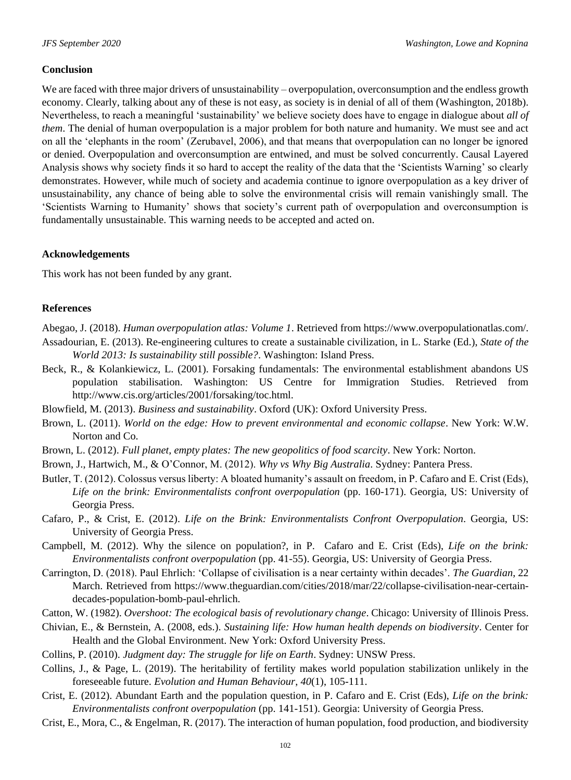#### **Conclusion**

We are faced with three major drivers of unsustainability – overpopulation, overconsumption and the endless growth economy. Clearly, talking about any of these is not easy, as society is in denial of all of them (Washington, 2018b). Nevertheless, to reach a meaningful 'sustainability' we believe society does have to engage in dialogue about *all of them*. The denial of human overpopulation is a major problem for both nature and humanity. We must see and act on all the 'elephants in the room' (Zerubavel, 2006), and that means that overpopulation can no longer be ignored or denied. Overpopulation and overconsumption are entwined, and must be solved concurrently. Causal Layered Analysis shows why society finds it so hard to accept the reality of the data that the 'Scientists Warning' so clearly demonstrates. However, while much of society and academia continue to ignore overpopulation as a key driver of unsustainability, any chance of being able to solve the environmental crisis will remain vanishingly small. The 'Scientists Warning to Humanity' shows that society's current path of overpopulation and overconsumption is fundamentally unsustainable. This warning needs to be accepted and acted on.

#### **Acknowledgements**

This work has not been funded by any grant.

#### **References**

- Abegao, J. (2018). *Human overpopulation atlas: Volume 1*. Retrieved from https://www.overpopulationatlas.com/.
- Assadourian, E. (2013). Re-engineering cultures to create a sustainable civilization, in L. Starke (Ed.), *State of the World 2013: Is sustainability still possible?*. Washington: Island Press.
- Beck, R., & Kolankiewicz, L. (2001). Forsaking fundamentals: The environmental establishment abandons US population stabilisation. Washington: US Centre for Immigration Studies. Retrieved from http://www.cis.org/articles/2001/forsaking/toc.html.
- Blowfield, M. (2013). *Business and sustainability*. Oxford (UK): Oxford University Press.
- Brown, L. (2011). *World on the edge: How to prevent environmental and economic collapse*. New York: W.W. Norton and Co.
- Brown, L. (2012). *Full planet, empty plates: The new geopolitics of food scarcity*. New York: Norton.
- Brown, J., Hartwich, M., & O'Connor, M. (2012). *Why vs Why Big Australia*. Sydney: Pantera Press.
- Butler, T. (2012). Colossus versus liberty: A bloated humanity's assault on freedom, in P. Cafaro and E. Crist (Eds), *Life on the brink: Environmentalists confront overpopulation* (pp. 160-171). Georgia, US: University of Georgia Press.
- Cafaro, P., & Crist, E. (2012). *Life on the Brink: Environmentalists Confront Overpopulation*. Georgia, US: University of Georgia Press.
- Campbell, M. (2012). Why the silence on population?, in P. Cafaro and E. Crist (Eds), *Life on the brink: Environmentalists confront overpopulation* (pp. 41-55). Georgia, US: University of Georgia Press.
- Carrington, D. (2018). Paul Ehrlich: 'Collapse of civilisation is a near certainty within decades'. *The Guardian*, 22 March. Retrieved from https://www.theguardian.com/cities/2018/mar/22/collapse-civilisation-near-certaindecades-population-bomb-paul-ehrlich.
- Catton, W. (1982). *Overshoot: The ecological basis of revolutionary change*. Chicago: University of Illinois Press.
- Chivian, E., & Bernstein, A. (2008, eds.). *Sustaining life: How human health depends on biodiversity*. Center for Health and the Global Environment. New York: Oxford University Press.
- Collins, P. (2010). *Judgment day: The struggle for life on Earth*. Sydney: UNSW Press.
- Collins, J., & Page, L. (2019). The heritability of fertility makes world population stabilization unlikely in the foreseeable future. *Evolution and Human Behaviour*, *40*(1), 105-111.
- Crist, E. (2012). Abundant Earth and the population question, in P. Cafaro and E. Crist (Eds), *Life on the brink: Environmentalists confront overpopulation* (pp. 141-151). Georgia: University of Georgia Press.
- Crist, E., Mora, C., & Engelman, R. (2017). The interaction of human population, food production, and biodiversity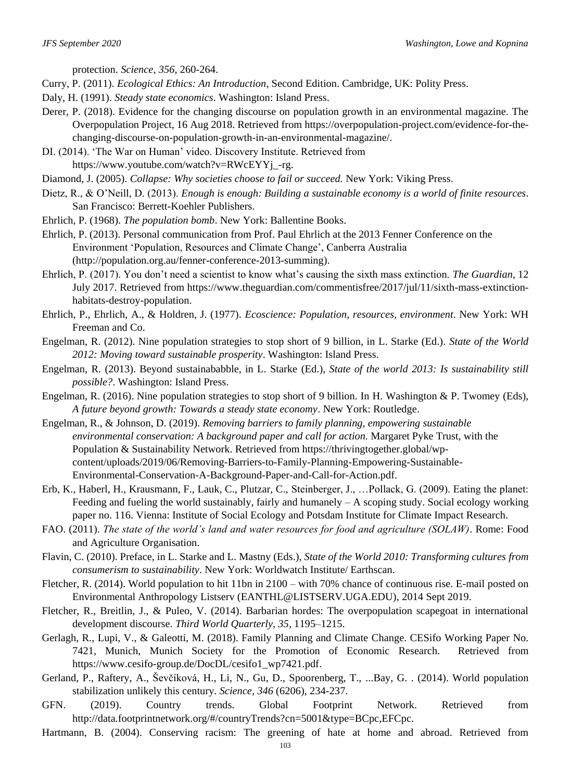protection. *Science*, *356*, 260-264.

- Curry, P. (2011). *Ecological Ethics: An Introduction*, Second Edition. Cambridge, UK: Polity Press.
- Daly, H. (1991). *Steady state economics*. Washington: Island Press.
- Derer, P. (2018). Evidence for the changing discourse on population growth in an environmental magazine. The Overpopulation Project, 16 Aug 2018. Retrieved from https://overpopulation-project.com/evidence-for-thechanging-discourse-on-population-growth-in-an-environmental-magazine/.
- DI. (2014). 'The War on Human' video. Discovery Institute. Retrieved from https://www.youtube.com/watch?v=RWcEYYj\_-rg.

Diamond, J. (2005). *Collapse: Why societies choose to fail or succeed.* New York: Viking Press.

- Dietz, R., & O'Neill, D. (2013). *Enough is enough: Building a sustainable economy is a world of finite resources*. San Francisco: Berrett-Koehler Publishers.
- Ehrlich, P. (1968). *The population bomb*. New York: Ballentine Books.
- Ehrlich, P. (2013). Personal communication from Prof. Paul Ehrlich at the 2013 Fenner Conference on the Environment 'Population, Resources and Climate Change', Canberra Australia (http://population.org.au/fenner-conference-2013-summing).
- Ehrlich, P. (2017). You don't need a scientist to know what's causing the sixth mass extinction. *The Guardian*, 12 July 2017. Retrieved from https://www.theguardian.com/commentisfree/2017/jul/11/sixth-mass-extinctionhabitats-destroy-population.
- Ehrlich, P., Ehrlich, A., & Holdren, J. (1977). *Ecoscience: Population, resources, environment*. New York: WH Freeman and Co.
- Engelman, R. (2012). Nine population strategies to stop short of 9 billion, in L. Starke (Ed.). *State of the World 2012: Moving toward sustainable prosperity*. Washington: Island Press.
- Engelman, R. (2013). Beyond sustainababble, in L. Starke (Ed.), *State of the world 2013: Is sustainability still possible?*. Washington: Island Press.
- Engelman, R. (2016). Nine population strategies to stop short of 9 billion. In H. Washington & P. Twomey (Eds), *A future beyond growth: Towards a steady state economy*. New York: Routledge.

Engelman, R., & Johnson, D. (2019). *Removing barriers to family planning, empowering sustainable environmental conservation: A background paper and call for action.* Margaret Pyke Trust, with the Population & Sustainability Network. Retrieved from https://thrivingtogether.global/wpcontent/uploads/2019/06/Removing-Barriers-to-Family-Planning-Empowering-Sustainable-Environmental-Conservation-A-Background-Paper-and-Call-for-Action.pdf.

- Erb, K., Haberl, H., Krausmann, F., Lauk, C., Plutzar, C., Steinberger, J., …Pollack, G. (2009). Eating the planet: Feeding and fueling the world sustainably, fairly and humanely  $- A$  scoping study. Social ecology working paper no. 116. Vienna: Institute of Social Ecology and Potsdam Institute for Climate Impact Research.
- FAO. (2011). *The state of the world's land and water resources for food and agriculture (SOLAW)*. Rome: Food and Agriculture Organisation.
- Flavin, C. (2010). Preface, in L. Starke and L. Mastny (Eds.), *State of the World 2010: Transforming cultures from consumerism to sustainability*. New York: Worldwatch Institute/ Earthscan.
- Fletcher, R. (2014). World population to hit 11bn in 2100 with 70% chance of continuous rise. E-mail posted on Environmental Anthropology Listserv (EANTHL@LISTSERV.UGA.EDU), 2014 Sept 2019.
- Fletcher, R., Breitlin, J., & Puleo, V. (2014). Barbarian hordes: The overpopulation scapegoat in international development discourse. *Third World Quarterly, 35*, 1195–1215.
- Gerlagh, R., Lupi, V., & Galeotti, M. (2018). Family Planning and Climate Change. CESifo Working Paper No. 7421, Munich, Munich Society for the Promotion of Economic Research. Retrieved from [https://www.cesifo-group.de/DocDL/cesifo1\\_wp7421.pdf.](https://www.cesifo-group.de/DocDL/cesifo1_wp7421.pdf)
- Gerland, P., Raftery, A., Ševčíková, H., Li, N., Gu, D., Spoorenberg, T., ...Bay, G. . (2014). World population stabilization unlikely this century. *Science, 346* (6206), 234-237.
- GFN. (2019). Country trends. Global Footprint Network. Retrieved from http://data.footprintnetwork.org/#/countryTrends?cn=5001&type=BCpc,EFCpc.
- Hartmann, B. (2004). Conserving racism: The greening of hate at home and abroad. Retrieved from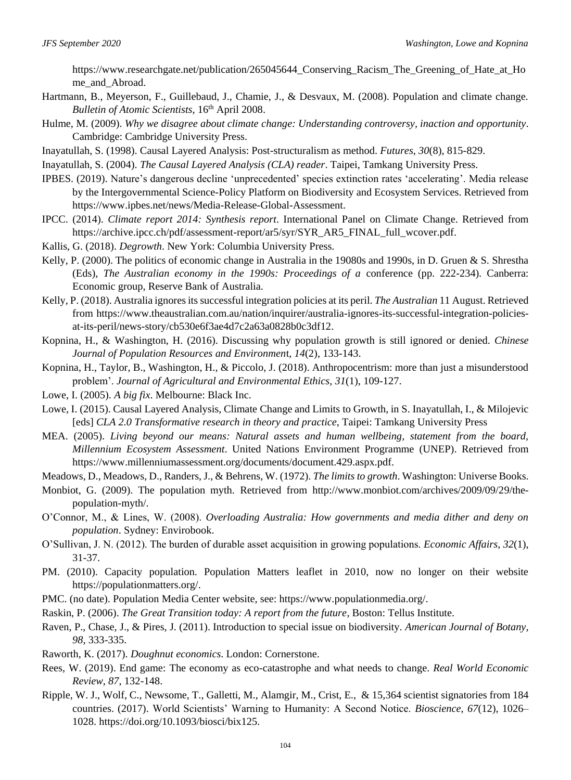https://www.researchgate.net/publication/265045644\_Conserving\_Racism\_The\_Greening\_of\_Hate\_at\_Ho me\_and\_Abroad.

- Hartmann, B., Meyerson, F., Guillebaud, J., Chamie, J., & Desvaux, M. (2008). Population and climate change. *Bulletin of Atomic Scientists*, 16th April 2008.
- Hulme, M. (2009). *Why we disagree about climate change: Understanding controversy, inaction and opportunity*. Cambridge: Cambridge University Press.
- Inayatullah, S. (1998). Causal Layered Analysis: Post-structuralism as method. *Futures*, *30*(8), 815-829.

Inayatullah, S. (2004). *The Causal Layered Analysis (CLA) reader*. Taipei, Tamkang University Press.

- IPBES. (2019). Nature's dangerous decline 'unprecedented' species extinction rates 'accelerating'. Media release by the Intergovernmental Science-Policy Platform on Biodiversity and Ecosystem Services. Retrieved from https://www.ipbes.net/news/Media-Release-Global-Assessment.
- IPCC. (2014). *Climate report 2014: Synthesis report*. International Panel on Climate Change. Retrieved from https://archive.ipcc.ch/pdf/assessment-report/ar5/syr/SYR\_AR5\_FINAL\_full\_wcover.pdf.
- Kallis, G. (2018). *Degrowth*. New York: Columbia University Press.
- Kelly, P. (2000). The politics of economic change in Australia in the 19080s and 1990s, in D. Gruen & S. Shrestha (Eds), *The Australian economy in the 1990s: Proceedings of a* conference (pp. 222-234)*.* Canberra: Economic group, Reserve Bank of Australia.
- Kelly, P. (2018). Australia ignores its successful integration policies at its peril. *The Australian* 11 August. Retrieved from https://www.theaustralian.com.au/nation/inquirer/australia-ignores-its-successful-integration-policiesat-its-peril/news-story/cb530e6f3ae4d7c2a63a0828b0c3df12.
- Kopnina, H., & Washington, H. (2016). Discussing why population growth is still ignored or denied. *Chinese Journal of Population Resources and Environmen*t, *14*(2), 133-143.
- Kopnina, H., Taylor, B., Washington, H., & Piccolo, J. (2018). Anthropocentrism: more than just a misunderstood problem'. *Journal of Agricultural and Environmental Ethics, 31*(1), 109-127.
- Lowe, I. (2005). *A big fix*. Melbourne: Black Inc.
- Lowe, I. (2015). Causal Layered Analysis, Climate Change and Limits to Growth, in S. Inayatullah, I., & Milojevic [eds] *CLA 2.0 Transformative research in theory and practice*, Taipei: Tamkang University Press
- MEA. (2005). *Living beyond our means: Natural assets and human wellbeing, statement from the board, Millennium Ecosystem Assessment*. United Nations Environment Programme (UNEP). Retrieved from https://www.millenniumassessment.org/documents/document.429.aspx.pdf.
- Meadows, D., Meadows, D., Randers, J., & Behrens, W. (1972). *The limits to growth*. Washington: Universe Books.
- Monbiot, G. (2009). The population myth. Retrieved from http://www.monbiot.com/archives/2009/09/29/thepopulation-myth/.
- O'Connor, M., & Lines, W. (2008). *Overloading Australia: How governments and media dither and deny on population*. Sydney: Envirobook.
- O'Sullivan, J. N. (2012). The burden of durable asset acquisition in growing populations. *Economic Affairs*, *32*(1), 31-37.
- PM. (2010). Capacity population. Population Matters leaflet in 2010, now no longer on their website https://populationmatters.org/.
- PMC. (no date). Population Media Center website, see: https://www.populationmedia.org/.
- Raskin, P. (2006). *The Great Transition today: A report from the future*, Boston: Tellus Institute.
- Raven, P., Chase, J., & Pires, J. (2011). Introduction to special issue on biodiversity. *American Journal of Botany*, *98*, 333-335.
- Raworth, K. (2017). *Doughnut economics*. London: Cornerstone.
- Rees, W. (2019). End game: The economy as eco-catastrophe and what needs to change. *Real World Economic Review*, *87*, 132-148.
- Ripple, W. J., Wolf, C., Newsome, T., Galletti, M., Alamgir, M., Crist, E., & 15,364 scientist signatories from 184 countries. (2017). World Scientists' Warning to Humanity: A Second Notice. *Bioscience*, *67*(12), 1026– 1028. https://doi.org/10.1093/biosci/bix125.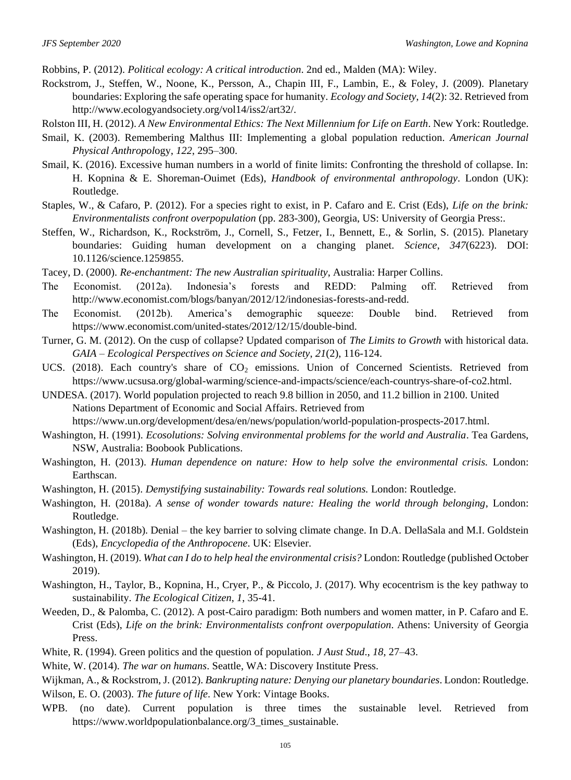Robbins, P. (2012). *Political ecology: A critical introduction*. 2nd ed., Malden (MA): Wiley.

- Rockstrom, J., Steffen, W., Noone, K., Persson, A., Chapin III, F., Lambin, E., & Foley, J. (2009). Planetary boundaries: Exploring the safe operating space for humanity. *Ecology and Society*, *14*(2): 32. Retrieved from http://www.ecologyandsociety.org/vol14/iss2/art32/.
- Rolston III, H. (2012). *A New Environmental Ethics: The Next Millennium for Life on Earth*. New York: Routledge.
- Smail, K. (2003). Remembering Malthus III: Implementing a global population reduction. *American Journal Physical Anthropol*ogy, *122*, 295–300.
- Smail, K. (2016). Excessive human numbers in a world of finite limits: Confronting the threshold of collapse. In: H. Kopnina & E. Shoreman-Ouimet (Eds), *Handbook of environmental anthropology*. London (UK): Routledge.
- Staples, W., & Cafaro, P. (2012). For a species right to exist, in P. Cafaro and E. Crist (Eds), *Life on the brink: Environmentalists confront overpopulation* (pp. 283-300), Georgia, US: University of Georgia Press:.
- Steffen, W., Richardson, K., Rockström, J., Cornell, S., Fetzer, I., Bennett, E., & Sorlin, S. (2015). Planetary boundaries: Guiding human development on a changing planet. *Science*, *347*(6223). DOI: 10.1126/science.1259855.
- Tacey, D. (2000). *Re-enchantment: The new Australian spirituality*, Australia: Harper Collins.
- The Economist. (2012a). Indonesia's forests and REDD: Palming off. Retrieved from http://www.economist.com/blogs/banyan/2012/12/indonesias-forests-and-redd.
- The Economist. (2012b). America's demographic squeeze: Double bind. Retrieved from https://www.economist.com/united-states/2012/12/15/double-bind.
- Turner, G. M. (2012). On the cusp of collapse? Updated comparison of *The Limits to Growth* with historical data. *GAIA – Ecological Perspectives on Science and Society*, *21*(2), 116-124.
- UCS. (2018). Each country's share of CO<sub>2</sub> emissions. Union of Concerned Scientists. Retrieved from https://www.ucsusa.org/global-warming/science-and-impacts/science/each-countrys-share-of-co2.html.
- UNDESA. (2017). World population projected to reach 9.8 billion in 2050, and 11.2 billion in 2100. United Nations Department of Economic and Social Affairs. Retrieved from https://www.un.org/development/desa/en/news/population/world-population-prospects-2017.html.
- Washington, H. (1991). *Ecosolutions: Solving environmental problems for the world and Australia*. Tea Gardens, NSW, Australia: Boobook Publications.
- Washington, H. (2013). *Human dependence on nature: How to help solve the environmental crisis.* London: Earthscan.
- Washington, H. (2015). *Demystifying sustainability: Towards real solutions.* London: Routledge.
- Washington, H. (2018a). *A sense of wonder towards nature: Healing the world through belonging*, London: Routledge.
- Washington, H. (2018b). Denial the key barrier to solving climate change. In D.A. DellaSala and M.I. Goldstein (Eds), *Encyclopedia of the Anthropocene*. UK: Elsevier.
- Washington, H. (2019). *What can I do to help heal the environmental crisis?* London: Routledge (published October 2019).
- Washington, H., Taylor, B., Kopnina, H., Cryer, P., & Piccolo, J. (2017). Why ecocentrism is the key pathway to sustainability. *The Ecological Citizen*, *1*, 35-41.
- Weeden, D., & Palomba, C. (2012). A post-Cairo paradigm: Both numbers and women matter, in P. Cafaro and E. Crist (Eds), *Life on the brink: Environmentalists confront overpopulation*. Athens: University of Georgia Press.
- White, R. (1994). Green politics and the question of population. *J Aust Stud*., *18*, 27–43.

White, W. (2014). *The war on humans*. Seattle, WA: Discovery Institute Press.

Wijkman, A., & Rockstrom, J. (2012). *Bankrupting nature: Denying our planetary boundaries*. London: Routledge. Wilson, E. O. (2003). *The future of life*. New York: Vintage Books.

WPB. (no date). Current population is three times the sustainable level. Retrieved from https://www.worldpopulationbalance.org/3\_times\_sustainable.